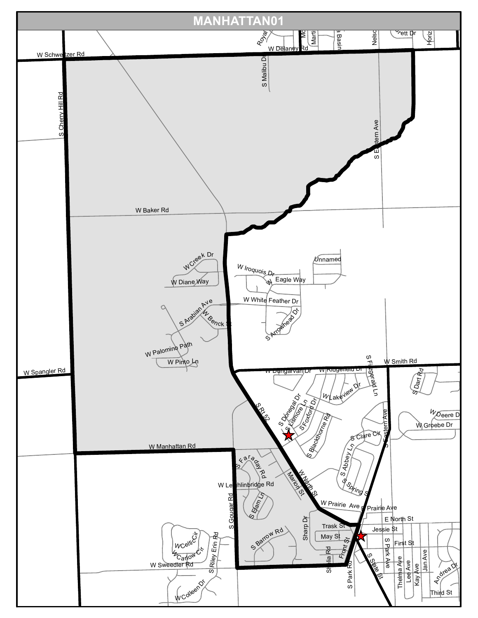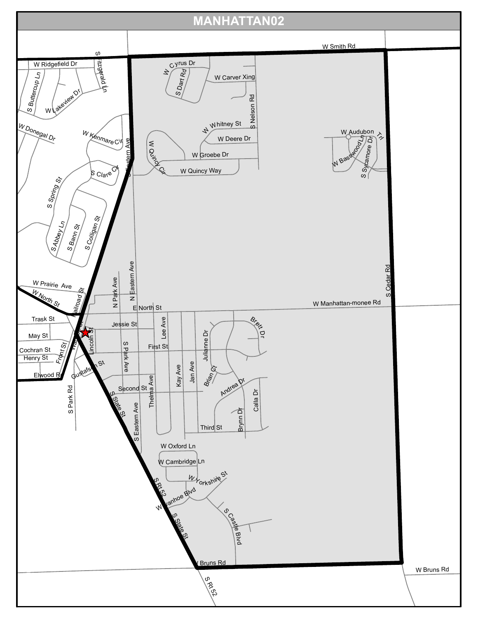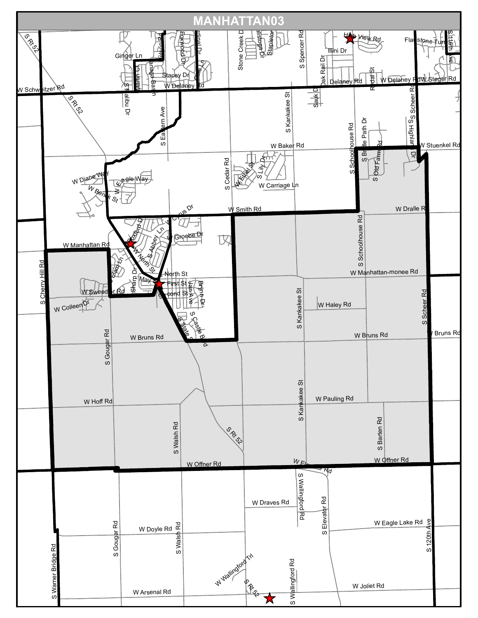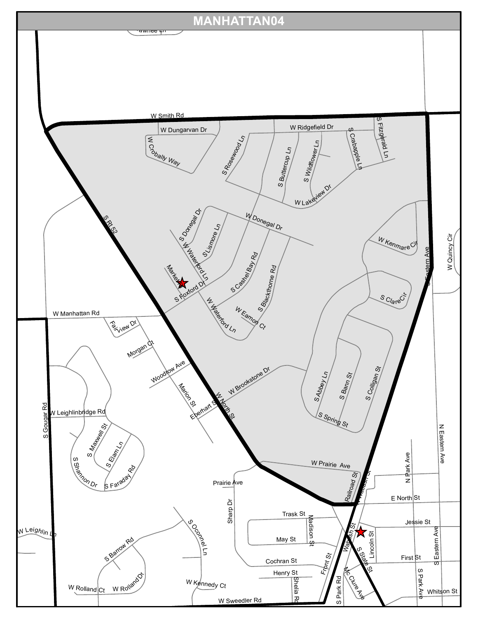